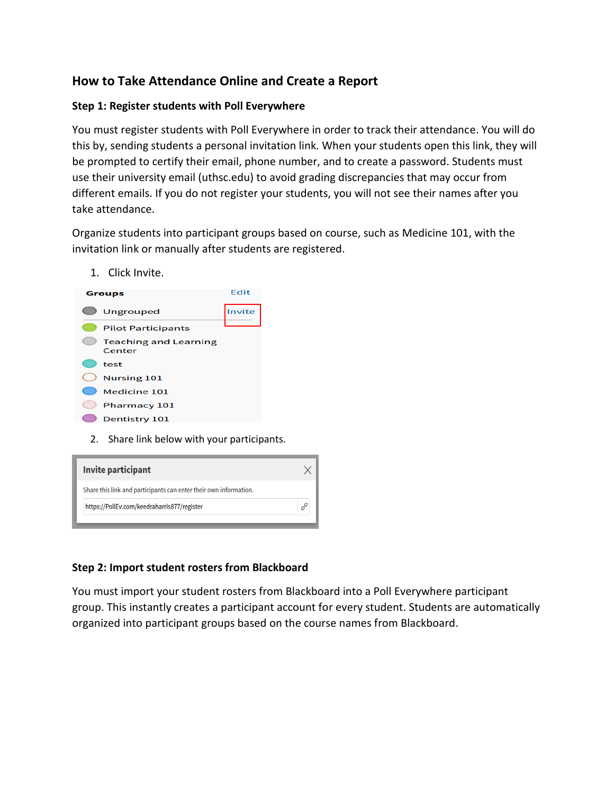# **How to Take Attendance Online and Create a Report**

### **Step 1: Register students with Poll Everywhere**

You must register students with Poll Everywhere in order to track their attendance. You will do this by, sending students a personal invitation link. When your students open this link, they will be prompted to certify their email, phone number, and to create a password. Students must use their university email (uthsc.edu) to avoid grading discrepancies that may occur from different emails. If you do not register your students, you will not see their names after you take attendance.

Organize students into participant groups based on course, such as Medicine 101, with the invitation link or manually after students are registered.

1. Click Invite.



2. Share link below with your participants.

| <b>Invite participant</b>                                         |  |
|-------------------------------------------------------------------|--|
| Share this link and participants can enter their own information. |  |
| https://PollEv.com/keedraharris877/register                       |  |

# **Step 2: Import student rosters from Blackboard**

You must import your student rosters from Blackboard into a Poll Everywhere participant group. This instantly creates a participant account for every student. Students are automatically organized into participant groups based on the course names from Blackboard.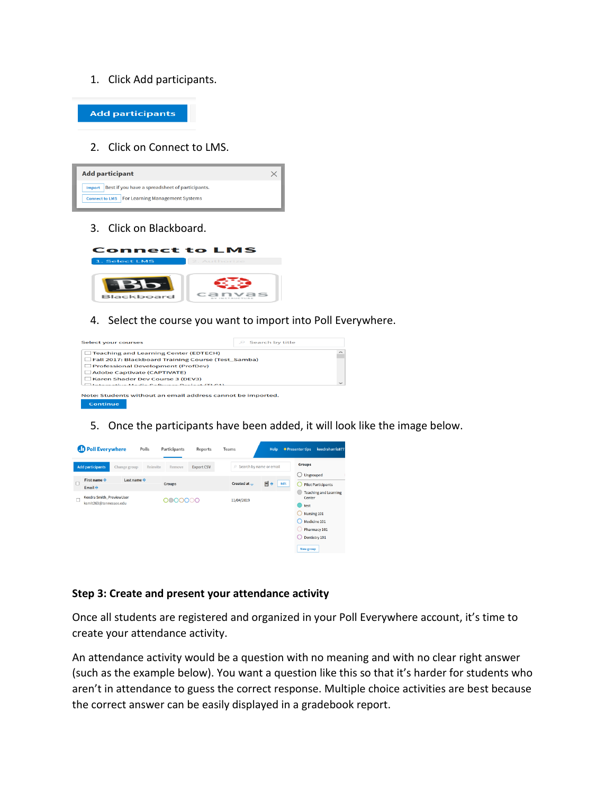#### 1. Click Add participants.



#### 2. Click on Connect to LMS.



3. Click on Blackboard.



4. Select the course you want to import into Poll Everywhere.



5. Once the participants have been added, it will look like the image below.



#### **Step 3: Create and present your attendance activity**

Once all students are registered and organized in your Poll Everywhere account, it's time to create your attendance activity.

An attendance activity would be a question with no meaning and with no clear right answer (such as the example below). You want a question like this so that it's harder for students who aren't in attendance to guess the correct response. Multiple choice activities are best because the correct answer can be easily displayed in a gradebook report.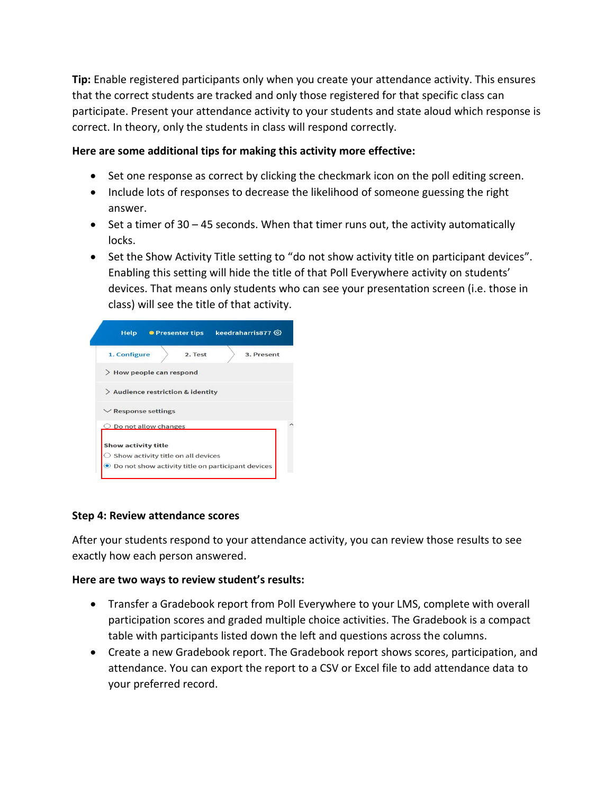**Tip:** Enable registered participants only when you create your attendance activity. This ensures that the correct students are tracked and only those registered for that specific class can participate. Present your attendance activity to your students and state aloud which response is correct. In theory, only the students in class will respond correctly.

### **Here are some additional tips for making this activity more effective:**

- Set one response as correct by clicking the checkmark icon on the poll editing screen.
- Include lots of responses to decrease the likelihood of someone guessing the right answer.
- Set a timer of 30 45 seconds. When that timer runs out, the activity automatically locks.
- Set the Show Activity Title setting to "do not show activity title on participant devices". Enabling this setting will hide the title of that Poll Everywhere activity on students' devices. That means only students who can see your presentation screen (i.e. those in class) will see the title of that activity.



# **Step 4: Review attendance scores**

After your students respond to your attendance activity, you can review those results to see exactly how each person answered.

# **Here are two ways to review student's results:**

- Transfer a Gradebook report from Poll Everywhere to your LMS, complete with overall participation scores and graded multiple choice activities. The Gradebook is a compact table with participants listed down the left and questions across the columns.
- Create a new Gradebook report. The Gradebook report shows scores, participation, and attendance. You can export the report to a CSV or Excel file to add attendance data to your preferred record.